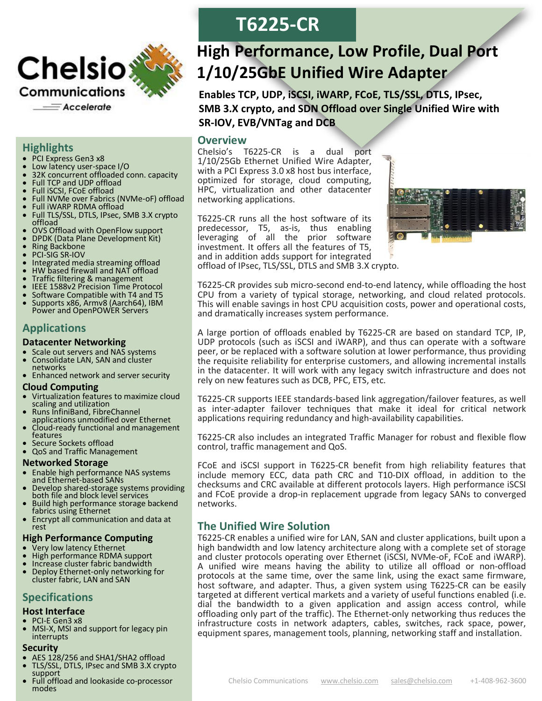

### **Highlights**

- PCI Express Gen3 x8
- Low latency user-space I/O
- 32K concurrent offloaded conn. capacity
- Full TCP and UDP offload
- Full iSCSI, FCoE offload
- Full NVMe over Fabrics (NVMe-oF) offload
- Full iWARP RDMA offload
- Full TLS/SSL, DTLS, IPsec, SMB 3.X crypto offload
- OVS Offload with OpenFlow support
- DPDK (Data Plane Development Kit)
- Ring Backbone
- PCI-SIG SR-IOV
- Integrated media streaming offload
- HW based firewall and NAT offload
- Traffic filtering & management<br>• IFFE 1588v2 Precision Time Pro
- IEEE 1588v2 Precision Time Protocol
- Software Compatible with T4 and T5
- Supports x86, Armv8 (Aarch64), IBM Power and OpenPOWER Servers

## **Applications**

#### **Datacenter Networking**

- Scale out servers and NAS systems
- Consolidate LAN, SAN and cluster networks
- Enhanced network and server security

#### **Cloud Computing**

- Virtualization features to maximize cloud scaling and utilization
- Runs InfiniBand, FibreChannel applications unmodified over Ethernet
- Cloud-ready functional and management features
- Secure Sockets offload
- QoS and Traffic Management

### **Networked Storage**

- Enable high performance NAS systems and Ethernet-based SANs
- Develop shared-storage systems providing both file and block level services
- Build high performance storage backend fabrics using Ethernet
- Encrypt all communication and data at rest

### **High Performance Computing**

- Very low latency Ethernet
- High performance RDMA support
- Increase cluster fabric bandwidth
- Deploy Ethernet-only networking for cluster fabric, LAN and SAN

# **Specifications**

#### **Host Interface**

- PCI-E Gen3 x8
- MSI-X, MSI and support for legacy pin interrupts

#### **Security**

- AES 128/256 and SHA1/SHA2 offload
- TLS/SSL, DTLS, IPsec and SMB 3.X crypto support
- Full offload and lookaside co-processor modes

# **T6225-CR**

# **High Performance, Low Profile, Dual Port 1/10/25GbE Unified Wire Adapter**

**Enables TCP, UDP, iSCSI, iWARP, FCoE, TLS/SSL, DTLS, IPsec, SMB 3.X crypto, and SDN Offload over Single Unified Wire with SR-IOV, EVB/VNTag and DCB**

## **Overview**

Chelsio's T6225-CR is a dual port 1/10/25Gb Ethernet Unified Wire Adapter, with a PCI Express 3.0 x8 host bus interface, optimized for storage, cloud computing, HPC, virtualization and other datacenter networking applications.

T6225-CR runs all the host software of its predecessor, T5, as-is, thus enabling leveraging of all the prior software investment. It offers all the features of T5, and in addition adds support for integrated offload of IPsec, TLS/SSL, DTLS and SMB 3.X crypto.



T6225-CR provides sub micro-second end-to-end latency, while offloading the host CPU from a variety of typical storage, networking, and cloud related protocols. This will enable savings in host CPU acquisition costs, power and operational costs, and dramatically increases system performance.

A large portion of offloads enabled by T6225-CR are based on standard TCP, IP, UDP protocols (such as iSCSI and iWARP), and thus can operate with a software peer, or be replaced with a software solution at lower performance, thus providing the requisite reliability for enterprise customers, and allowing incremental installs in the datacenter. It will work with any legacy switch infrastructure and does not rely on new features such as DCB, PFC, ETS, etc.

T6225-CR supports IEEE standards-based link aggregation/failover features, as well as inter-adapter failover techniques that make it ideal for critical network applications requiring redundancy and high-availability capabilities.

T6225-CR also includes an integrated Traffic Manager for robust and flexible flow control, traffic management and QoS.

FCoE and iSCSI support in T6225-CR benefit from high reliability features that include memory ECC, data path CRC and T10-DIX offload, in addition to the checksums and CRC available at different protocols layers. High performance iSCSI and FCoE provide a drop-in replacement upgrade from legacy SANs to converged networks.

## **The Unified Wire Solution**

T6225-CR enables a unified wire for LAN, SAN and cluster applications, built upon a high bandwidth and low latency architecture along with a complete set of storage and cluster protocols operating over Ethernet (iSCSI, NVMe-oF, FCoE and iWARP). A unified wire means having the ability to utilize all offload or non-offload protocols at the same time, over the same link, using the exact same firmware, host software, and adapter. Thus, a given system using T6225-CR can be easily targeted at different vertical markets and a variety of useful functions enabled (i.e. dial the bandwidth to a given application and assign access control, while offloading only part of the traffic). The Ethernet-only networking thus reduces the infrastructure costs in network adapters, cables, switches, rack space, power, equipment spares, management tools, planning, networking staff and installation.